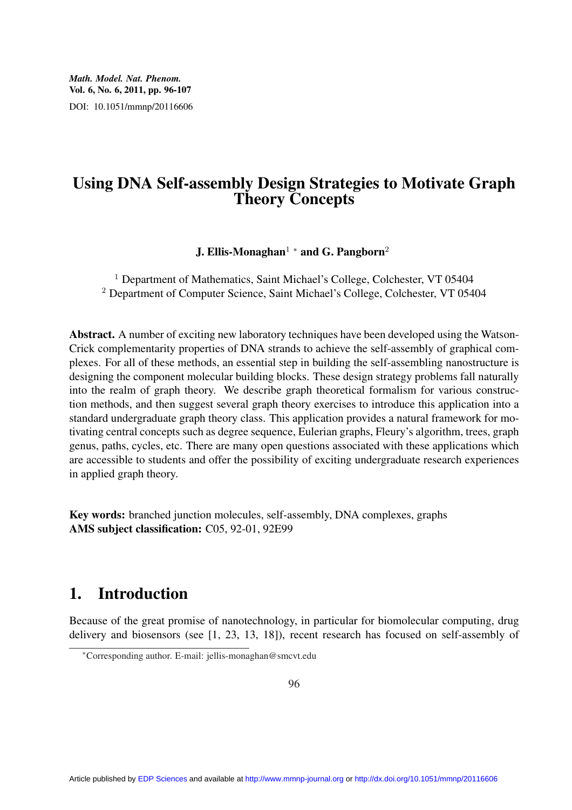### Using DNA Self-assembly Design Strategies to Motivate Graph Theory Concepts

J. Ellis-Monaghan<sup>1</sup>  $*$  and G. Pangborn<sup>2</sup>

<sup>1</sup> Department of Mathematics, Saint Michael's College, Colchester, VT 05404 <sup>2</sup> Department of Computer Science, Saint Michael's College, Colchester, VT 05404

Abstract. A number of exciting new laboratory techniques have been developed using the Watson-Crick complementarity properties of DNA strands to achieve the self-assembly of graphical complexes. For all of these methods, an essential step in building the self-assembling nanostructure is designing the component molecular building blocks. These design strategy problems fall naturally into the realm of graph theory. We describe graph theoretical formalism for various construction methods, and then suggest several graph theory exercises to introduce this application into a standard undergraduate graph theory class. This application provides a natural framework for motivating central concepts such as degree sequence, Eulerian graphs, Fleury's algorithm, trees, graph genus, paths, cycles, etc. There are many open questions associated with these applications which are accessible to students and offer the possibility of exciting undergraduate research experiences in applied graph theory.

Key words: branched junction molecules, self-assembly, DNA complexes, graphs AMS subject classification: C05, 92-01, 92E99

## 1. Introduction

Because of the great promise of nanotechnology, in particular for biomolecular computing, drug delivery and biosensors (see [1, 23, 13, 18]), recent research has focused on self-assembly of

96

<sup>∗</sup>Corresponding author. E-mail: jellis-monaghan@smcvt.edu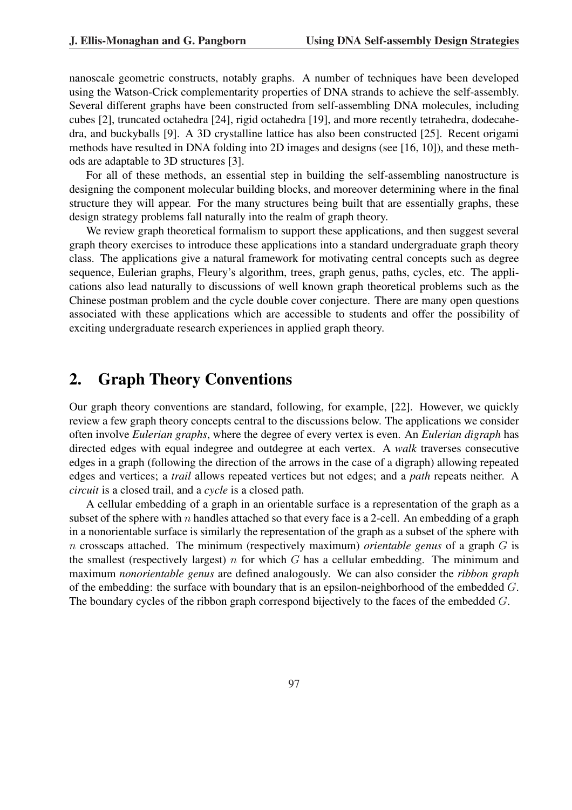nanoscale geometric constructs, notably graphs. A number of techniques have been developed using the Watson-Crick complementarity properties of DNA strands to achieve the self-assembly. Several different graphs have been constructed from self-assembling DNA molecules, including cubes [2], truncated octahedra [24], rigid octahedra [19], and more recently tetrahedra, dodecahedra, and buckyballs [9]. A 3D crystalline lattice has also been constructed [25]. Recent origami methods have resulted in DNA folding into 2D images and designs (see [16, 10]), and these methods are adaptable to 3D structures [3].

For all of these methods, an essential step in building the self-assembling nanostructure is designing the component molecular building blocks, and moreover determining where in the final structure they will appear. For the many structures being built that are essentially graphs, these design strategy problems fall naturally into the realm of graph theory.

We review graph theoretical formalism to support these applications, and then suggest several graph theory exercises to introduce these applications into a standard undergraduate graph theory class. The applications give a natural framework for motivating central concepts such as degree sequence, Eulerian graphs, Fleury's algorithm, trees, graph genus, paths, cycles, etc. The applications also lead naturally to discussions of well known graph theoretical problems such as the Chinese postman problem and the cycle double cover conjecture. There are many open questions associated with these applications which are accessible to students and offer the possibility of exciting undergraduate research experiences in applied graph theory.

#### 2. Graph Theory Conventions

Our graph theory conventions are standard, following, for example, [22]. However, we quickly review a few graph theory concepts central to the discussions below. The applications we consider often involve *Eulerian graphs*, where the degree of every vertex is even. An *Eulerian digraph* has directed edges with equal indegree and outdegree at each vertex. A *walk* traverses consecutive edges in a graph (following the direction of the arrows in the case of a digraph) allowing repeated edges and vertices; a *trail* allows repeated vertices but not edges; and a *path* repeats neither. A *circuit* is a closed trail, and a *cycle* is a closed path.

A cellular embedding of a graph in an orientable surface is a representation of the graph as a subset of the sphere with  $n$  handles attached so that every face is a 2-cell. An embedding of a graph in a nonorientable surface is similarly the representation of the graph as a subset of the sphere with n crosscaps attached. The minimum (respectively maximum) *orientable genus* of a graph G is the smallest (respectively largest)  $n$  for which  $G$  has a cellular embedding. The minimum and maximum *nonorientable genus* are defined analogously. We can also consider the *ribbon graph* of the embedding: the surface with boundary that is an epsilon-neighborhood of the embedded G. The boundary cycles of the ribbon graph correspond bijectively to the faces of the embedded G.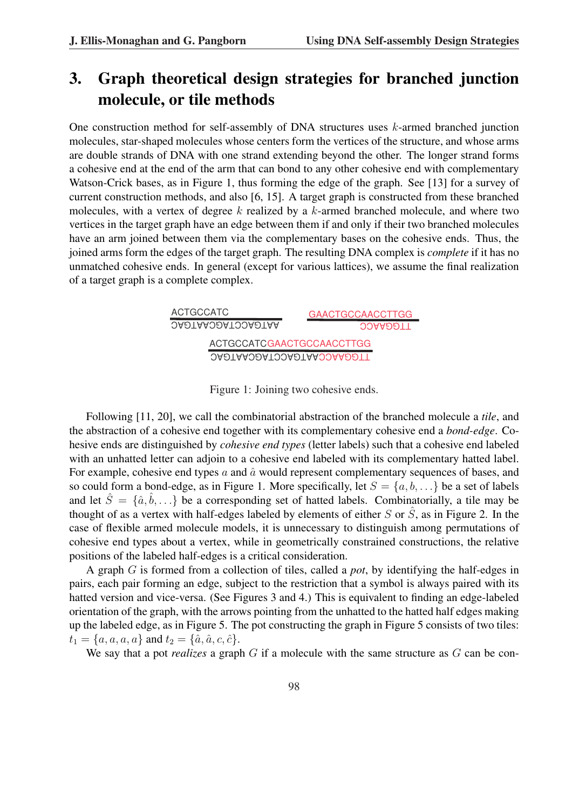# 3. Graph theoretical design strategies for branched junction molecule, or tile methods

One construction method for self-assembly of DNA structures uses k-armed branched junction molecules, star-shaped molecules whose centers form the vertices of the structure, and whose arms are double strands of DNA with one strand extending beyond the other. The longer strand forms a cohesive end at the end of the arm that can bond to any other cohesive end with complementary Watson-Crick bases, as in Figure 1, thus forming the edge of the graph. See [13] for a survey of current construction methods, and also [6, 15]. A target graph is constructed from these branched molecules, with a vertex of degree k realized by a  $k$ -armed branched molecule, and where two vertices in the target graph have an edge between them if and only if their two branched molecules have an arm joined between them via the complementary bases on the cohesive ends. Thus, the joined arms form the edges of the target graph. The resulting DNA complex is *complete* if it has no unmatched cohesive ends. In general (except for various lattices), we assume the final realization of a target graph is a complete complex.



Figure 1: Joining two cohesive ends.

Following [11, 20], we call the combinatorial abstraction of the branched molecule a *tile*, and the abstraction of a cohesive end together with its complementary cohesive end a *bond-edge*. Cohesive ends are distinguished by *cohesive end types* (letter labels) such that a cohesive end labeled with an unhatted letter can adjoin to a cohesive end labeled with its complementary hatted label. For example, cohesive end types  $\alpha$  and  $\hat{\alpha}$  would represent complementary sequences of bases, and so could form a bond-edge, as in Figure 1. More specifically, let  $S = \{a, b, ...\}$  be a set of labels and let  $\hat{S} = \{\hat{a}, \hat{b}, ...\}$  be a corresponding set of hatted labels. Combinatorially, a tile may be thought of as a vertex with half-edges labeled by elements of either  $S$  or  $\tilde{S}$ , as in Figure 2. In the case of flexible armed molecule models, it is unnecessary to distinguish among permutations of cohesive end types about a vertex, while in geometrically constrained constructions, the relative positions of the labeled half-edges is a critical consideration.

A graph G is formed from a collection of tiles, called a *pot*, by identifying the half-edges in pairs, each pair forming an edge, subject to the restriction that a symbol is always paired with its hatted version and vice-versa. (See Figures 3 and 4.) This is equivalent to finding an edge-labeled orientation of the graph, with the arrows pointing from the unhatted to the hatted half edges making up the labeled edge, as in Figure 5. The pot constructing the graph in Figure 5 consists of two tiles:  $t_1 = \{a, a, a, a\}$  and  $t_2 = \{\hat{a}, \hat{a}, c, \hat{c}\}.$ 

We say that a pot *realizes* a graph G if a molecule with the same structure as G can be con-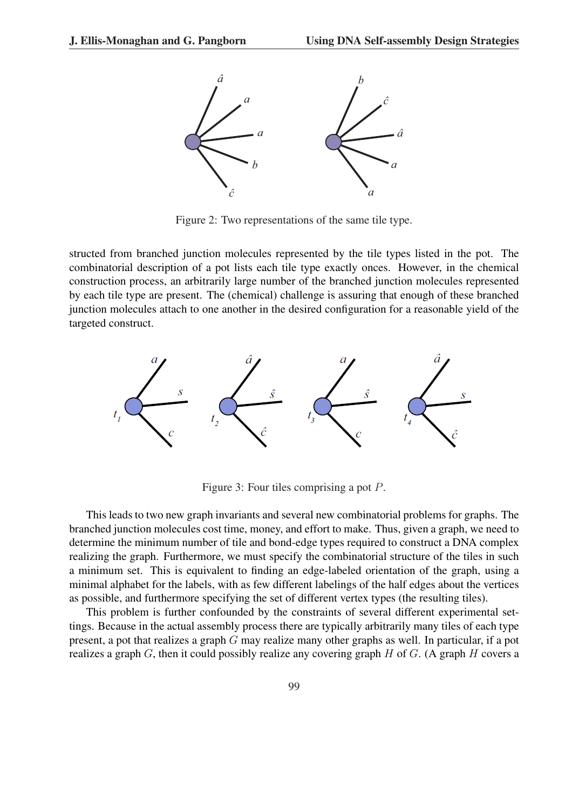

Figure 2: Two representations of the same tile type.

structed from branched junction molecules represented by the tile types listed in the pot. The combinatorial description of a pot lists each tile type exactly onces. However, in the chemical construction process, an arbitrarily large number of the branched junction molecules represented by each tile type are present. The (chemical) challenge is assuring that enough of these branched junction molecules attach to one another in the desired configuration for a reasonable yield of the targeted construct.



Figure 3: Four tiles comprising a pot P.

This leads to two new graph invariants and several new combinatorial problems for graphs. The branched junction molecules cost time, money, and effort to make. Thus, given a graph, we need to determine the minimum number of tile and bond-edge types required to construct a DNA complex realizing the graph. Furthermore, we must specify the combinatorial structure of the tiles in such a minimum set. This is equivalent to finding an edge-labeled orientation of the graph, using a minimal alphabet for the labels, with as few different labelings of the half edges about the vertices as possible, and furthermore specifying the set of different vertex types (the resulting tiles).

This problem is further confounded by the constraints of several different experimental settings. Because in the actual assembly process there are typically arbitrarily many tiles of each type present, a pot that realizes a graph G may realize many other graphs as well. In particular, if a pot realizes a graph  $G$ , then it could possibly realize any covering graph  $H$  of  $G$ . (A graph  $H$  covers a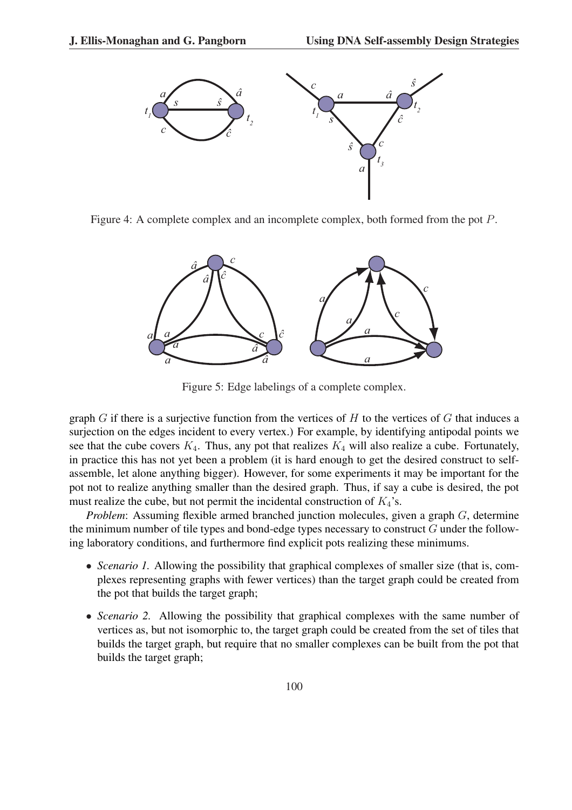

Figure 4: A complete complex and an incomplete complex, both formed from the pot P.



Figure 5: Edge labelings of a complete complex.

graph  $G$  if there is a surjective function from the vertices of  $H$  to the vertices of  $G$  that induces a surjection on the edges incident to every vertex.) For example, by identifying antipodal points we see that the cube covers  $K_4$ . Thus, any pot that realizes  $K_4$  will also realize a cube. Fortunately, in practice this has not yet been a problem (it is hard enough to get the desired construct to selfassemble, let alone anything bigger). However, for some experiments it may be important for the pot not to realize anything smaller than the desired graph. Thus, if say a cube is desired, the pot must realize the cube, but not permit the incidental construction of  $K_4$ 's.

*Problem*: Assuming flexible armed branched junction molecules, given a graph G, determine the minimum number of tile types and bond-edge types necessary to construct  $G$  under the following laboratory conditions, and furthermore find explicit pots realizing these minimums.

- *Scenario 1*. Allowing the possibility that graphical complexes of smaller size (that is, complexes representing graphs with fewer vertices) than the target graph could be created from the pot that builds the target graph;
- *Scenario 2.* Allowing the possibility that graphical complexes with the same number of vertices as, but not isomorphic to, the target graph could be created from the set of tiles that builds the target graph, but require that no smaller complexes can be built from the pot that builds the target graph;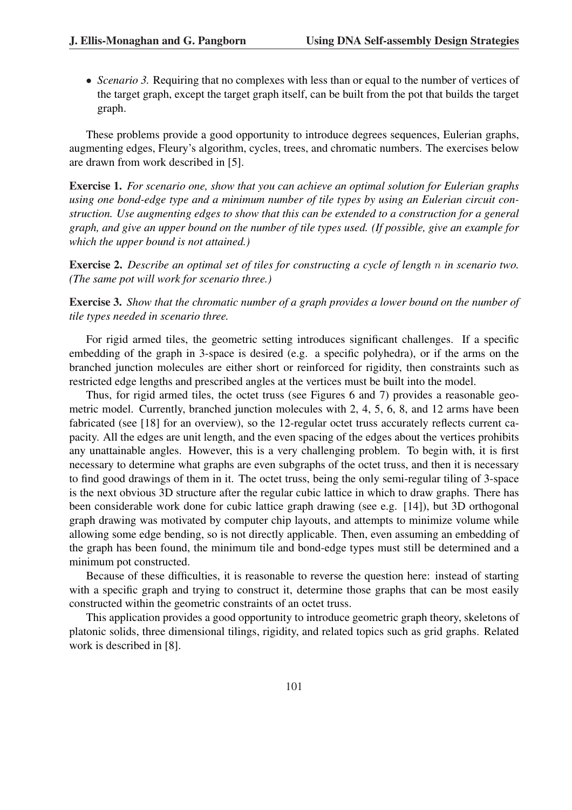• *Scenario 3.* Requiring that no complexes with less than or equal to the number of vertices of the target graph, except the target graph itself, can be built from the pot that builds the target graph.

These problems provide a good opportunity to introduce degrees sequences, Eulerian graphs, augmenting edges, Fleury's algorithm, cycles, trees, and chromatic numbers. The exercises below are drawn from work described in [5].

Exercise 1. *For scenario one, show that you can achieve an optimal solution for Eulerian graphs using one bond-edge type and a minimum number of tile types by using an Eulerian circuit construction. Use augmenting edges to show that this can be extended to a construction for a general graph, and give an upper bound on the number of tile types used. (If possible, give an example for which the upper bound is not attained.)*

Exercise 2. *Describe an optimal set of tiles for constructing a cycle of length* n *in scenario two. (The same pot will work for scenario three.)*

Exercise 3. *Show that the chromatic number of a graph provides a lower bound on the number of tile types needed in scenario three.*

For rigid armed tiles, the geometric setting introduces significant challenges. If a specific embedding of the graph in 3-space is desired (e.g. a specific polyhedra), or if the arms on the branched junction molecules are either short or reinforced for rigidity, then constraints such as restricted edge lengths and prescribed angles at the vertices must be built into the model.

Thus, for rigid armed tiles, the octet truss (see Figures 6 and 7) provides a reasonable geometric model. Currently, branched junction molecules with 2, 4, 5, 6, 8, and 12 arms have been fabricated (see [18] for an overview), so the 12-regular octet truss accurately reflects current capacity. All the edges are unit length, and the even spacing of the edges about the vertices prohibits any unattainable angles. However, this is a very challenging problem. To begin with, it is first necessary to determine what graphs are even subgraphs of the octet truss, and then it is necessary to find good drawings of them in it. The octet truss, being the only semi-regular tiling of 3-space is the next obvious 3D structure after the regular cubic lattice in which to draw graphs. There has been considerable work done for cubic lattice graph drawing (see e.g. [14]), but 3D orthogonal graph drawing was motivated by computer chip layouts, and attempts to minimize volume while allowing some edge bending, so is not directly applicable. Then, even assuming an embedding of the graph has been found, the minimum tile and bond-edge types must still be determined and a minimum pot constructed.

Because of these difficulties, it is reasonable to reverse the question here: instead of starting with a specific graph and trying to construct it, determine those graphs that can be most easily constructed within the geometric constraints of an octet truss.

This application provides a good opportunity to introduce geometric graph theory, skeletons of platonic solids, three dimensional tilings, rigidity, and related topics such as grid graphs. Related work is described in [8].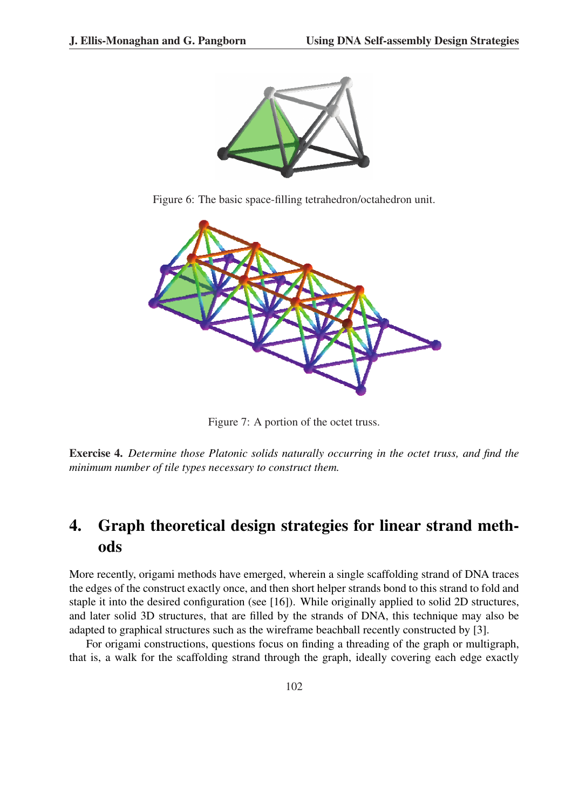

Figure 6: The basic space-filling tetrahedron/octahedron unit.



Figure 7: A portion of the octet truss.

Exercise 4. *Determine those Platonic solids naturally occurring in the octet truss, and find the minimum number of tile types necessary to construct them.*

# 4. Graph theoretical design strategies for linear strand methods

More recently, origami methods have emerged, wherein a single scaffolding strand of DNA traces the edges of the construct exactly once, and then short helper strands bond to this strand to fold and staple it into the desired configuration (see [16]). While originally applied to solid 2D structures, and later solid 3D structures, that are filled by the strands of DNA, this technique may also be adapted to graphical structures such as the wireframe beachball recently constructed by [3].

For origami constructions, questions focus on finding a threading of the graph or multigraph, that is, a walk for the scaffolding strand through the graph, ideally covering each edge exactly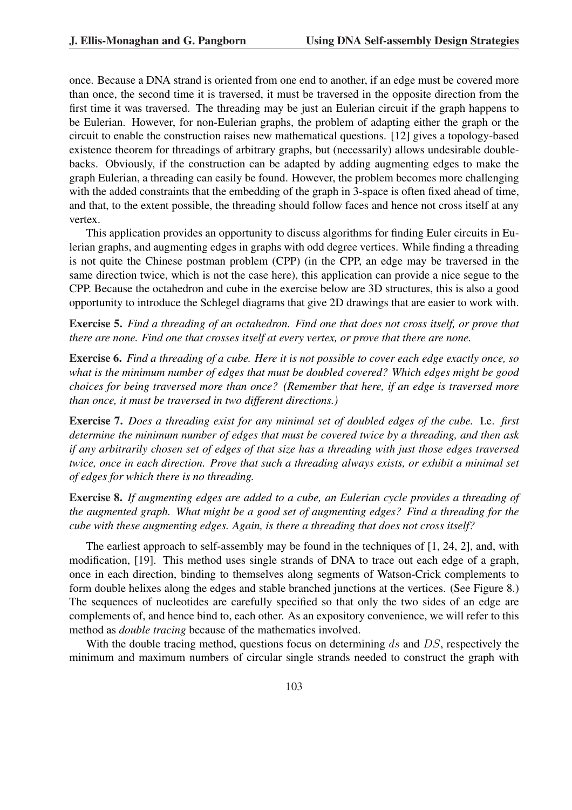once. Because a DNA strand is oriented from one end to another, if an edge must be covered more than once, the second time it is traversed, it must be traversed in the opposite direction from the first time it was traversed. The threading may be just an Eulerian circuit if the graph happens to be Eulerian. However, for non-Eulerian graphs, the problem of adapting either the graph or the circuit to enable the construction raises new mathematical questions. [12] gives a topology-based existence theorem for threadings of arbitrary graphs, but (necessarily) allows undesirable doublebacks. Obviously, if the construction can be adapted by adding augmenting edges to make the graph Eulerian, a threading can easily be found. However, the problem becomes more challenging with the added constraints that the embedding of the graph in 3-space is often fixed ahead of time, and that, to the extent possible, the threading should follow faces and hence not cross itself at any vertex.

This application provides an opportunity to discuss algorithms for finding Euler circuits in Eulerian graphs, and augmenting edges in graphs with odd degree vertices. While finding a threading is not quite the Chinese postman problem (CPP) (in the CPP, an edge may be traversed in the same direction twice, which is not the case here), this application can provide a nice segue to the CPP. Because the octahedron and cube in the exercise below are 3D structures, this is also a good opportunity to introduce the Schlegel diagrams that give 2D drawings that are easier to work with.

Exercise 5. *Find a threading of an octahedron. Find one that does not cross itself, or prove that there are none. Find one that crosses itself at every vertex, or prove that there are none.*

Exercise 6. *Find a threading of a cube. Here it is not possible to cover each edge exactly once, so what is the minimum number of edges that must be doubled covered? Which edges might be good choices for being traversed more than once? (Remember that here, if an edge is traversed more than once, it must be traversed in two different directions.)*

Exercise 7. *Does a threading exist for any minimal set of doubled edges of the cube.* I.e. *first determine the minimum number of edges that must be covered twice by a threading, and then ask if any arbitrarily chosen set of edges of that size has a threading with just those edges traversed twice, once in each direction. Prove that such a threading always exists, or exhibit a minimal set of edges for which there is no threading.*

Exercise 8. *If augmenting edges are added to a cube, an Eulerian cycle provides a threading of the augmented graph. What might be a good set of augmenting edges? Find a threading for the cube with these augmenting edges. Again, is there a threading that does not cross itself?*

The earliest approach to self-assembly may be found in the techniques of [1, 24, 2], and, with modification, [19]. This method uses single strands of DNA to trace out each edge of a graph, once in each direction, binding to themselves along segments of Watson-Crick complements to form double helixes along the edges and stable branched junctions at the vertices. (See Figure 8.) The sequences of nucleotides are carefully specified so that only the two sides of an edge are complements of, and hence bind to, each other. As an expository convenience, we will refer to this method as *double tracing* because of the mathematics involved.

With the double tracing method, questions focus on determining  $ds$  and  $DS$ , respectively the minimum and maximum numbers of circular single strands needed to construct the graph with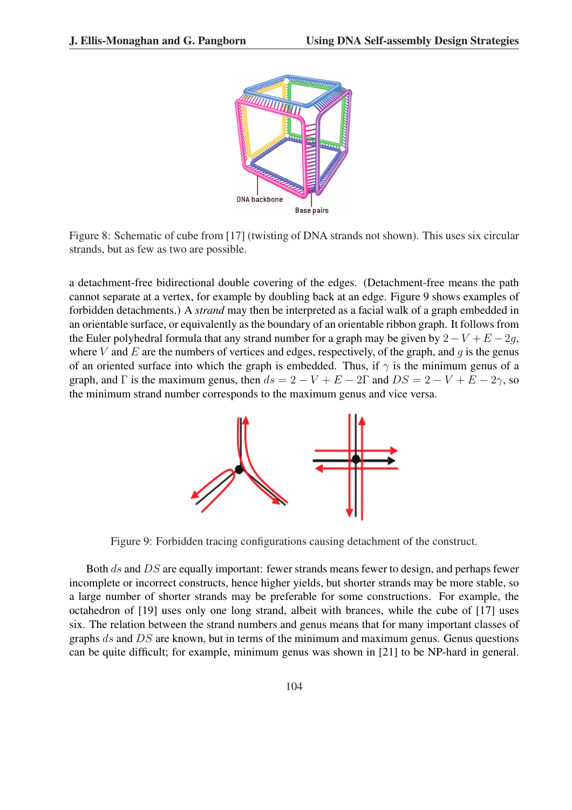

Figure 8: Schematic of cube from [17] (twisting of DNA strands not shown). This uses six circular strands, but as few as two are possible.

a detachment-free bidirectional double covering of the edges. (Detachment-free means the path cannot separate at a vertex, for example by doubling back at an edge. Figure 9 shows examples of forbidden detachments.) A *strand* may then be interpreted as a facial walk of a graph embedded in an orientable surface, or equivalently as the boundary of an orientable ribbon graph. It follows from the Euler polyhedral formula that any strand number for a graph may be given by  $2 - V + E - 2q$ , where V and E are the numbers of vertices and edges, respectively, of the graph, and q is the genus of an oriented surface into which the graph is embedded. Thus, if  $\gamma$  is the minimum genus of a graph, and  $\Gamma$  is the maximum genus, then  $ds = 2 - V + E - 2\Gamma$  and  $DS = 2 - V + E - 2\gamma$ , so the minimum strand number corresponds to the maximum genus and vice versa.



Figure 9: Forbidden tracing configurations causing detachment of the construct.

Both ds and DS are equally important: fewer strands means fewer to design, and perhaps fewer incomplete or incorrect constructs, hence higher yields, but shorter strands may be more stable, so a large number of shorter strands may be preferable for some constructions. For example, the octahedron of [19] uses only one long strand, albeit with brances, while the cube of [17] uses six. The relation between the strand numbers and genus means that for many important classes of graphs ds and DS are known, but in terms of the minimum and maximum genus. Genus questions can be quite difficult; for example, minimum genus was shown in [21] to be NP-hard in general.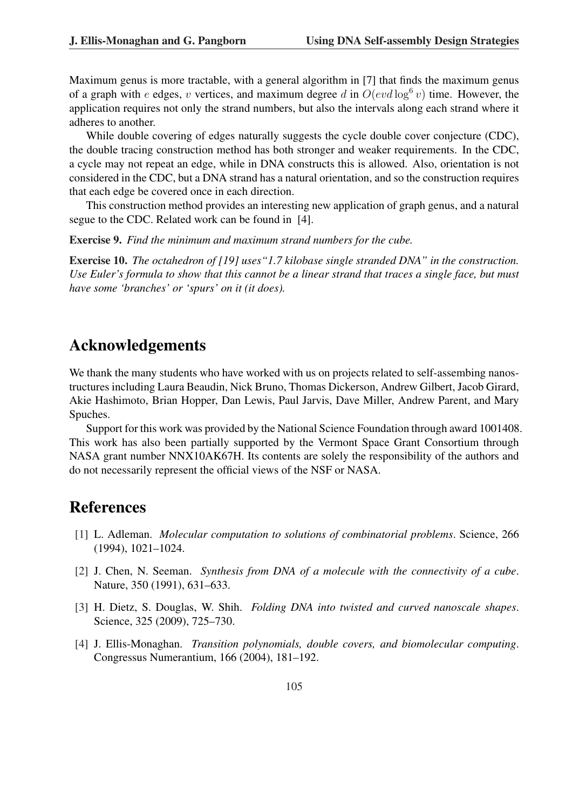Maximum genus is more tractable, with a general algorithm in [7] that finds the maximum genus of a graph with e edges, v vertices, and maximum degree d in  $O(evd \log^6 v)$  time. However, the application requires not only the strand numbers, but also the intervals along each strand where it adheres to another.

While double covering of edges naturally suggests the cycle double cover conjecture (CDC), the double tracing construction method has both stronger and weaker requirements. In the CDC, a cycle may not repeat an edge, while in DNA constructs this is allowed. Also, orientation is not considered in the CDC, but a DNA strand has a natural orientation, and so the construction requires that each edge be covered once in each direction.

This construction method provides an interesting new application of graph genus, and a natural segue to the CDC. Related work can be found in [4].

Exercise 9. *Find the minimum and maximum strand numbers for the cube.*

Exercise 10. *The octahedron of [19] uses"1.7 kilobase single stranded DNA" in the construction. Use Euler's formula to show that this cannot be a linear strand that traces a single face, but must have some 'branches' or 'spurs' on it (it does).*

### Acknowledgements

We thank the many students who have worked with us on projects related to self-assembing nanostructures including Laura Beaudin, Nick Bruno, Thomas Dickerson, Andrew Gilbert, Jacob Girard, Akie Hashimoto, Brian Hopper, Dan Lewis, Paul Jarvis, Dave Miller, Andrew Parent, and Mary Spuches.

Support for this work was provided by the National Science Foundation through award 1001408. This work has also been partially supported by the Vermont Space Grant Consortium through NASA grant number NNX10AK67H. Its contents are solely the responsibility of the authors and do not necessarily represent the official views of the NSF or NASA.

#### References

- [1] L. Adleman. *Molecular computation to solutions of combinatorial problems*. Science, 266 (1994), 1021–1024.
- [2] J. Chen, N. Seeman. *Synthesis from DNA of a molecule with the connectivity of a cube*. Nature, 350 (1991), 631–633.
- [3] H. Dietz, S. Douglas, W. Shih. *Folding DNA into twisted and curved nanoscale shapes*. Science, 325 (2009), 725–730.
- [4] J. Ellis-Monaghan. *Transition polynomials, double covers, and biomolecular computing*. Congressus Numerantium, 166 (2004), 181–192.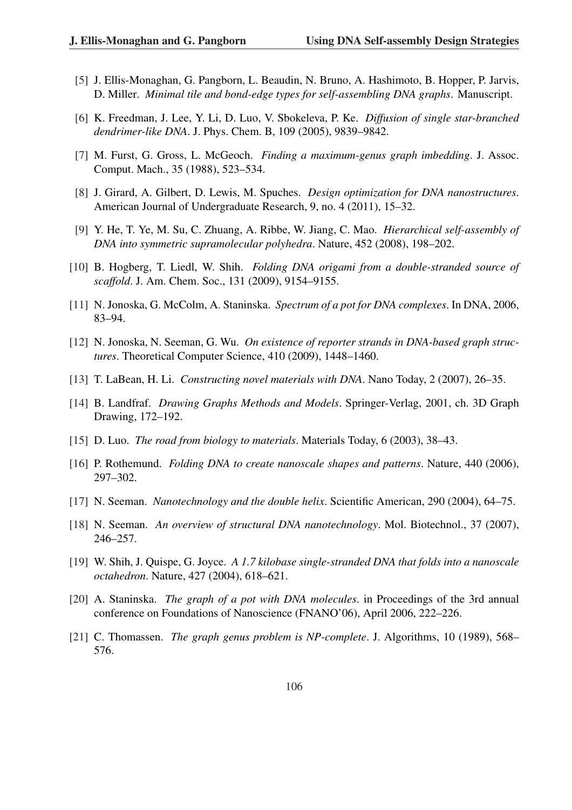- [5] J. Ellis-Monaghan, G. Pangborn, L. Beaudin, N. Bruno, A. Hashimoto, B. Hopper, P. Jarvis, D. Miller. *Minimal tile and bond-edge types for self-assembling DNA graphs*. Manuscript.
- [6] K. Freedman, J. Lee, Y. Li, D. Luo, V. Sbokeleva, P. Ke. *Diffusion of single star-branched dendrimer-like DNA*. J. Phys. Chem. B, 109 (2005), 9839–9842.
- [7] M. Furst, G. Gross, L. McGeoch. *Finding a maximum-genus graph imbedding*. J. Assoc. Comput. Mach., 35 (1988), 523–534.
- [8] J. Girard, A. Gilbert, D. Lewis, M. Spuches. *Design optimization for DNA nanostructures*. American Journal of Undergraduate Research, 9, no. 4 (2011), 15–32.
- [9] Y. He, T. Ye, M. Su, C. Zhuang, A. Ribbe, W. Jiang, C. Mao. *Hierarchical self-assembly of DNA into symmetric supramolecular polyhedra*. Nature, 452 (2008), 198–202.
- [10] B. Hogberg, T. Liedl, W. Shih. *Folding DNA origami from a double-stranded source of scaffold*. J. Am. Chem. Soc., 131 (2009), 9154–9155.
- [11] N. Jonoska, G. McColm, A. Staninska. *Spectrum of a pot for DNA complexes*. In DNA, 2006, 83–94.
- [12] N. Jonoska, N. Seeman, G. Wu. *On existence of reporter strands in DNA-based graph structures*. Theoretical Computer Science, 410 (2009), 1448–1460.
- [13] T. LaBean, H. Li. *Constructing novel materials with DNA*. Nano Today, 2 (2007), 26–35.
- [14] B. Landfraf. *Drawing Graphs Methods and Models*. Springer-Verlag, 2001, ch. 3D Graph Drawing, 172–192.
- [15] D. Luo. *The road from biology to materials*. Materials Today, 6 (2003), 38–43.
- [16] P. Rothemund. *Folding DNA to create nanoscale shapes and patterns*. Nature, 440 (2006), 297–302.
- [17] N. Seeman. *Nanotechnology and the double helix*. Scientific American, 290 (2004), 64–75.
- [18] N. Seeman. *An overview of structural DNA nanotechnology*. Mol. Biotechnol., 37 (2007), 246–257.
- [19] W. Shih, J. Quispe, G. Joyce. *A 1.7 kilobase single-stranded DNA that folds into a nanoscale octahedron*. Nature, 427 (2004), 618–621.
- [20] A. Staninska. *The graph of a pot with DNA molecules*. in Proceedings of the 3rd annual conference on Foundations of Nanoscience (FNANO'06), April 2006, 222–226.
- [21] C. Thomassen. *The graph genus problem is NP-complete*. J. Algorithms, 10 (1989), 568– 576.